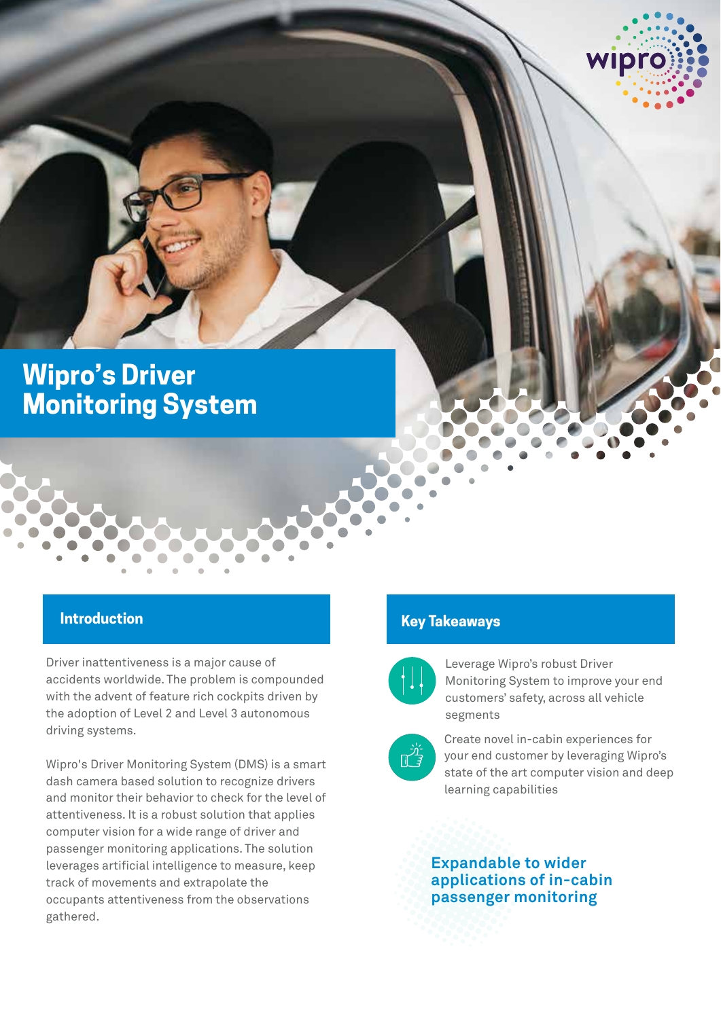# **Wipro's Driver Monitoring System**

## **Introduction**

Driver inattentiveness is a major cause of accidents worldwide. The problem is compounded with the advent of feature rich cockpits driven by the adoption of Level 2 and Level 3 autonomous driving systems.

Wipro's Driver Monitoring System (DMS) is a smart dash camera based solution to recognize drivers and monitor their behavior to check for the level of attentiveness. It is a robust solution that applies computer vision for a wide range of driver and passenger monitoring applications. The solution leverages artificial intelligence to measure, keep track of movements and extrapolate the occupants attentiveness from the observations gathered.

# **discription Introduction Introduction Wipper Services for access for <b>access Key Takeaways**



Leverage Wipro's robust Driver Monitoring System to improve your end customers' safety, across all vehicle segments

wipro



Create novel in-cabin experiences for your end customer by leveraging Wipro's state of the art computer vision and deep learning capabilities

## **Expandable to wider applications of in-cabin passenger monitoring**